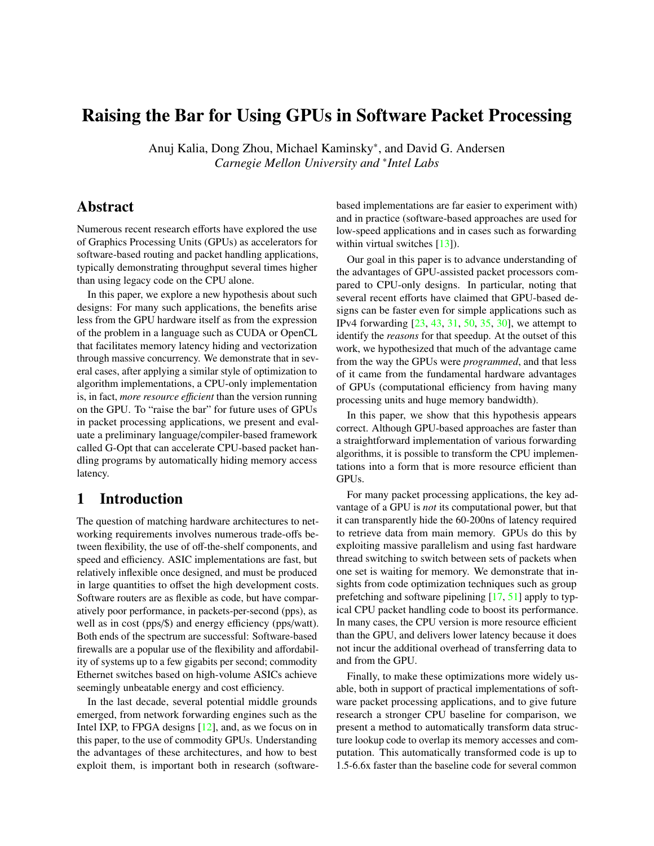# Raising the Bar for Using GPUs in Software Packet Processing

Anuj Kalia, Dong Zhou, Michael Kaminsky<sup>∗</sup> , and David G. Andersen *Carnegie Mellon University and* <sup>∗</sup> *Intel Labs*

# Abstract

Numerous recent research efforts have explored the use of Graphics Processing Units (GPUs) as accelerators for software-based routing and packet handling applications, typically demonstrating throughput several times higher than using legacy code on the CPU alone.

In this paper, we explore a new hypothesis about such designs: For many such applications, the benefits arise less from the GPU hardware itself as from the expression of the problem in a language such as CUDA or OpenCL that facilitates memory latency hiding and vectorization through massive concurrency. We demonstrate that in several cases, after applying a similar style of optimization to algorithm implementations, a CPU-only implementation is, in fact, *more resource efficient* than the version running on the GPU. To "raise the bar" for future uses of GPUs in packet processing applications, we present and evaluate a preliminary language/compiler-based framework called G-Opt that can accelerate CPU-based packet handling programs by automatically hiding memory access latency.

# 1 Introduction

The question of matching hardware architectures to networking requirements involves numerous trade-offs between flexibility, the use of off-the-shelf components, and speed and efficiency. ASIC implementations are fast, but relatively inflexible once designed, and must be produced in large quantities to offset the high development costs. Software routers are as flexible as code, but have comparatively poor performance, in packets-per-second (pps), as well as in cost (pps/\$) and energy efficiency (pps/watt). Both ends of the spectrum are successful: Software-based firewalls are a popular use of the flexibility and affordability of systems up to a few gigabits per second; commodity Ethernet switches based on high-volume ASICs achieve seemingly unbeatable energy and cost efficiency.

In the last decade, several potential middle grounds emerged, from network forwarding engines such as the Intel IXP, to FPGA designs [\[12\]](#page-13-0), and, as we focus on in this paper, to the use of commodity GPUs. Understanding the advantages of these architectures, and how to best exploit them, is important both in research (softwarebased implementations are far easier to experiment with) and in practice (software-based approaches are used for low-speed applications and in cases such as forwarding within virtual switches [\[13\]](#page-13-1)).

Our goal in this paper is to advance understanding of the advantages of GPU-assisted packet processors compared to CPU-only designs. In particular, noting that several recent efforts have claimed that GPU-based designs can be faster even for simple applications such as IPv4 forwarding [\[23,](#page-13-2) [43,](#page-14-0) [31,](#page-13-3) [50,](#page-14-1) [35,](#page-13-4) [30\]](#page-13-5), we attempt to identify the *reasons* for that speedup. At the outset of this work, we hypothesized that much of the advantage came from the way the GPUs were *programmed*, and that less of it came from the fundamental hardware advantages of GPUs (computational efficiency from having many processing units and huge memory bandwidth).

In this paper, we show that this hypothesis appears correct. Although GPU-based approaches are faster than a straightforward implementation of various forwarding algorithms, it is possible to transform the CPU implementations into a form that is more resource efficient than GPUs.

For many packet processing applications, the key advantage of a GPU is *not* its computational power, but that it can transparently hide the 60-200ns of latency required to retrieve data from main memory. GPUs do this by exploiting massive parallelism and using fast hardware thread switching to switch between sets of packets when one set is waiting for memory. We demonstrate that insights from code optimization techniques such as group prefetching and software pipelining [\[17,](#page-13-6) [51\]](#page-14-2) apply to typical CPU packet handling code to boost its performance. In many cases, the CPU version is more resource efficient than the GPU, and delivers lower latency because it does not incur the additional overhead of transferring data to and from the GPU.

Finally, to make these optimizations more widely usable, both in support of practical implementations of software packet processing applications, and to give future research a stronger CPU baseline for comparison, we present a method to automatically transform data structure lookup code to overlap its memory accesses and computation. This automatically transformed code is up to 1.5-6.6x faster than the baseline code for several common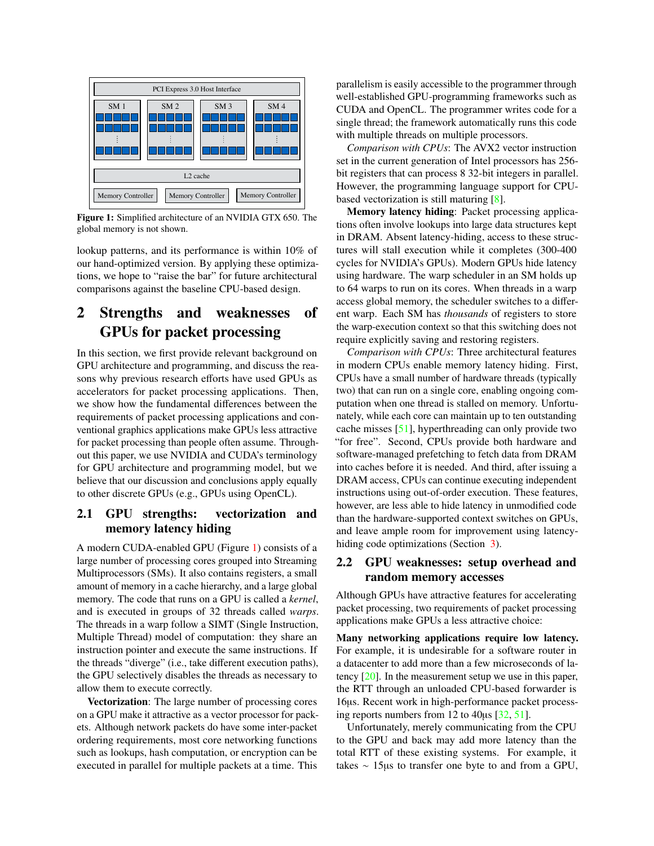<span id="page-1-0"></span>

Figure 1: Simplified architecture of an NVIDIA GTX 650. The global memory is not shown.

lookup patterns, and its performance is within 10% of our hand-optimized version. By applying these optimizations, we hope to "raise the bar" for future architectural comparisons against the baseline CPU-based design.

# 2 Strengths and weaknesses of GPUs for packet processing

In this section, we first provide relevant background on GPU architecture and programming, and discuss the reasons why previous research efforts have used GPUs as accelerators for packet processing applications. Then, we show how the fundamental differences between the requirements of packet processing applications and conventional graphics applications make GPUs less attractive for packet processing than people often assume. Throughout this paper, we use NVIDIA and CUDA's terminology for GPU architecture and programming model, but we believe that our discussion and conclusions apply equally to other discrete GPUs (e.g., GPUs using OpenCL).

## 2.1 GPU strengths: vectorization and memory latency hiding

A modern CUDA-enabled GPU (Figure [1\)](#page-1-0) consists of a large number of processing cores grouped into Streaming Multiprocessors (SMs). It also contains registers, a small amount of memory in a cache hierarchy, and a large global memory. The code that runs on a GPU is called a *kernel*, and is executed in groups of 32 threads called *warps*. The threads in a warp follow a SIMT (Single Instruction, Multiple Thread) model of computation: they share an instruction pointer and execute the same instructions. If the threads "diverge" (i.e., take different execution paths), the GPU selectively disables the threads as necessary to allow them to execute correctly.

Vectorization: The large number of processing cores on a GPU make it attractive as a vector processor for packets. Although network packets do have some inter-packet ordering requirements, most core networking functions such as lookups, hash computation, or encryption can be executed in parallel for multiple packets at a time. This parallelism is easily accessible to the programmer through well-established GPU-programming frameworks such as CUDA and OpenCL. The programmer writes code for a single thread; the framework automatically runs this code with multiple threads on multiple processors.

*Comparison with CPUs*: The AVX2 vector instruction set in the current generation of Intel processors has 256 bit registers that can process 8 32-bit integers in parallel. However, the programming language support for CPUbased vectorization is still maturing [\[8\]](#page-13-7).

Memory latency hiding: Packet processing applications often involve lookups into large data structures kept in DRAM. Absent latency-hiding, access to these structures will stall execution while it completes (300-400 cycles for NVIDIA's GPUs). Modern GPUs hide latency using hardware. The warp scheduler in an SM holds up to 64 warps to run on its cores. When threads in a warp access global memory, the scheduler switches to a different warp. Each SM has *thousands* of registers to store the warp-execution context so that this switching does not require explicitly saving and restoring registers.

*Comparison with CPUs*: Three architectural features in modern CPUs enable memory latency hiding. First, CPUs have a small number of hardware threads (typically two) that can run on a single core, enabling ongoing computation when one thread is stalled on memory. Unfortunately, while each core can maintain up to ten outstanding cache misses [\[51\]](#page-14-2), hyperthreading can only provide two "for free". Second, CPUs provide both hardware and software-managed prefetching to fetch data from DRAM into caches before it is needed. And third, after issuing a DRAM access, CPUs can continue executing independent instructions using out-of-order execution. These features, however, are less able to hide latency in unmodified code than the hardware-supported context switches on GPUs, and leave ample room for improvement using latencyhiding code optimizations (Section [3\)](#page-3-0).

## 2.2 GPU weaknesses: setup overhead and random memory accesses

Although GPUs have attractive features for accelerating packet processing, two requirements of packet processing applications make GPUs a less attractive choice:

Many networking applications require low latency. For example, it is undesirable for a software router in a datacenter to add more than a few microseconds of latency [\[20\]](#page-13-8). In the measurement setup we use in this paper, the RTT through an unloaded CPU-based forwarder is 16µs. Recent work in high-performance packet processing reports numbers from 12 to 40µs [\[32,](#page-13-9) [51\]](#page-14-2).

Unfortunately, merely communicating from the CPU to the GPU and back may add more latency than the total RTT of these existing systems. For example, it takes ∼ 15µs to transfer one byte to and from a GPU,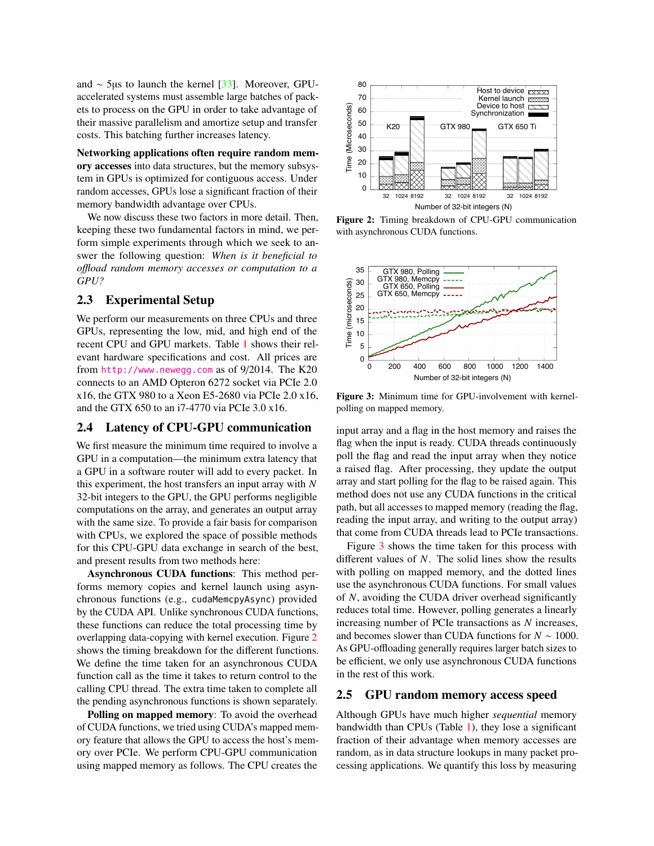and ∼ 5µs to launch the kernel [\[33\]](#page-13-10). Moreover, GPUaccelerated systems must assemble large batches of packets to process on the GPU in order to take advantage of their massive parallelism and amortize setup and transfer costs. This batching further increases latency.

Networking applications often require random memory accesses into data structures, but the memory subsystem in GPUs is optimized for contiguous access. Under random accesses, GPUs lose a significant fraction of their memory bandwidth advantage over CPUs.

We now discuss these two factors in more detail. Then, keeping these two fundamental factors in mind, we perform simple experiments through which we seek to answer the following question: *When is it beneficial to o*ffl*oad random memory accesses or computation to a GPU?*

### 2.3 Experimental Setup

We perform our measurements on three CPUs and three GPUs, representing the low, mid, and high end of the recent CPU and GPU markets. Table [1](#page-3-1) shows their relevant hardware specifications and cost. All prices are from <http://www.newegg.com> as of 9/2014. The K20 connects to an AMD Opteron 6272 socket via PCIe 2.0 x16, the GTX 980 to a Xeon E5-2680 via PCIe 2.0 x16, and the GTX 650 to an i7-4770 via PCIe 3.0 x16.

### 2.4 Latency of CPU-GPU communication

We first measure the minimum time required to involve a GPU in a computation—the minimum extra latency that a GPU in a software router will add to every packet. In this experiment, the host transfers an input array with *N* 32-bit integers to the GPU, the GPU performs negligible computations on the array, and generates an output array with the same size. To provide a fair basis for comparison with CPUs, we explored the space of possible methods for this CPU-GPU data exchange in search of the best, and present results from two methods here:

Asynchronous CUDA functions: This method performs memory copies and kernel launch using asynchronous functions (e.g., cudaMemcpyAsync) provided by the CUDA API. Unlike synchronous CUDA functions, these functions can reduce the total processing time by overlapping data-copying with kernel execution. Figure [2](#page-2-0) shows the timing breakdown for the different functions. We define the time taken for an asynchronous CUDA function call as the time it takes to return control to the calling CPU thread. The extra time taken to complete all the pending asynchronous functions is shown separately.

Polling on mapped memory: To avoid the overhead of CUDA functions, we tried using CUDA's mapped memory feature that allows the GPU to access the host's memory over PCIe. We perform CPU-GPU communication using mapped memory as follows. The CPU creates the

<span id="page-2-0"></span>

Figure 2: Timing breakdown of CPU-GPU communication with asynchronous CUDA functions.

<span id="page-2-1"></span>

Figure 3: Minimum time for GPU-involvement with kernelpolling on mapped memory.

input array and a flag in the host memory and raises the flag when the input is ready. CUDA threads continuously poll the flag and read the input array when they notice a raised flag. After processing, they update the output array and start polling for the flag to be raised again. This method does not use any CUDA functions in the critical path, but all accesses to mapped memory (reading the flag, reading the input array, and writing to the output array) that come from CUDA threads lead to PCIe transactions.

Figure [3](#page-2-1) shows the time taken for this process with different values of *N*. The solid lines show the results with polling on mapped memory, and the dotted lines use the asynchronous CUDA functions. For small values of *N*, avoiding the CUDA driver overhead significantly reduces total time. However, polling generates a linearly increasing number of PCIe transactions as *N* increases, and becomes slower than CUDA functions for *N* ∼ 1000. As GPU-offloading generally requires larger batch sizes to be efficient, we only use asynchronous CUDA functions in the rest of this work.

### <span id="page-2-2"></span>2.5 GPU random memory access speed

Although GPUs have much higher *sequential* memory bandwidth than CPUs (Table [1\)](#page-3-1), they lose a significant fraction of their advantage when memory accesses are random, as in data structure lookups in many packet processing applications. We quantify this loss by measuring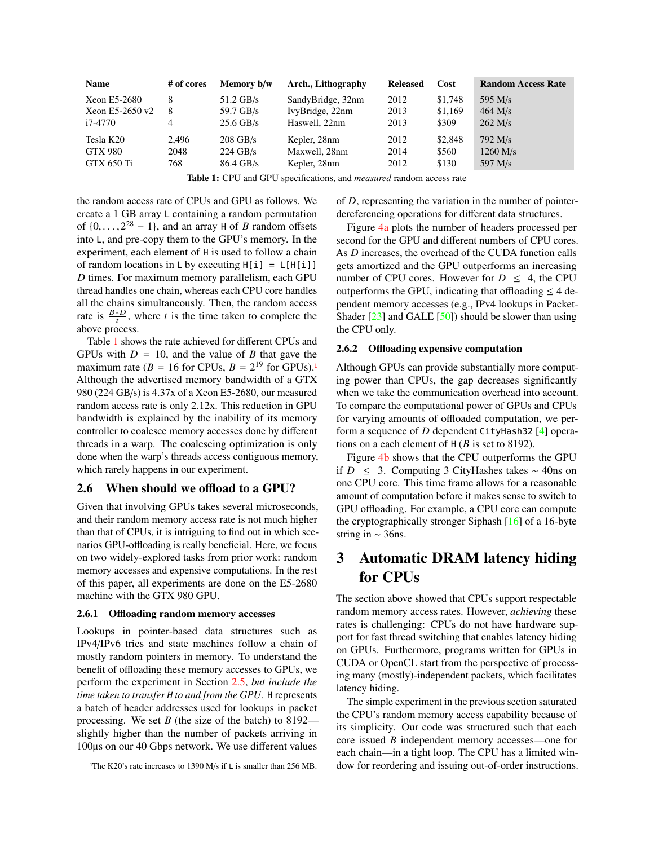<span id="page-3-1"></span>

| <b>Name</b>       | # of cores | Memory b/w  | Arch., Lithography | <b>Released</b> | Cost    | <b>Random Access Rate</b> |
|-------------------|------------|-------------|--------------------|-----------------|---------|---------------------------|
| Xeon E5-2680      | 8          | $51.2$ GB/s | SandyBridge, 32nm  | 2012            | \$1,748 | 595 M/s                   |
| Xeon E5-2650 $v2$ | 8          | 59.7 GB/s   | IvyBridge, 22nm    | 2013            | \$1,169 | $464$ M/s                 |
| i7-4770           | 4          | $25.6$ GB/s | Haswell, 22nm      | 2013            | \$309   | $262$ M/s                 |
| Tesla K20         | 2.496      | $208$ GB/s  | Kepler, 28nm       | 2012            | \$2,848 | 792 M/s                   |
| <b>GTX 980</b>    | 2048       | $224$ GB/s  | Maxwell, 28nm      | 2014            | \$560   | $1260$ M/s                |
| GTX 650 Ti        | 768        | 86.4 GB/s   | Kepler, 28nm       | 2012            | \$130   | 597 M/s                   |

Table 1: CPU and GPU specifications, and *measured* random access rate

the random access rate of CPUs and GPU as follows. We create a 1 GB array L containing a random permutation of  $\{0, \ldots, 2^{28} - 1\}$ , and an array H of *B* random offsets into L and pre-copy them to the GPU's memory. In the into L, and pre-copy them to the GPU's memory. In the experiment, each element of H is used to follow a chain of random locations in L by executing  $H[i] = L[H[i]]$ *D* times. For maximum memory parallelism, each GPU thread handles one chain, whereas each CPU core handles all the chains simultaneously. Then, the random access rate is  $\frac{B * D}{t}$ , where *t* is the time taken to complete the above process.

Table [1](#page-3-1) shows the rate achieved for different CPUs and GPUs with  $D = 10$ , and the value of *B* that gave the GPUs with  $D = 10$ , and the value of *B* that gave the maximum rate  $(B = 16$  for CPUs,  $B = 2^{19}$  for GPUs)[.](#page-3-2)<sup>1</sup> Although the advertised memory bandwidth of a GTX 980 (224 GB/s) is 4.37x of a Xeon E5-2680, our measured random access rate is only 2.12x. This reduction in GPU bandwidth is explained by the inability of its memory controller to coalesce memory accesses done by different threads in a warp. The coalescing optimization is only done when the warp's threads access contiguous memory, which rarely happens in our experiment.

#### 2.6 When should we offload to a GPU?

Given that involving GPUs takes several microseconds, and their random memory access rate is not much higher than that of CPUs, it is intriguing to find out in which scenarios GPU-offloading is really beneficial. Here, we focus on two widely-explored tasks from prior work: random memory accesses and expensive computations. In the rest of this paper, all experiments are done on the E5-2680 machine with the GTX 980 GPU.

#### 2.6.1 Offloading random memory accesses

Lookups in pointer-based data structures such as IPv4/IPv6 tries and state machines follow a chain of mostly random pointers in memory. To understand the benefit of offloading these memory accesses to GPUs, we perform the experiment in Section [2.5,](#page-2-2) *but include the time taken to transfer* H *to and from the GPU*. H represents a batch of header addresses used for lookups in packet processing. We set *B* (the size of the batch) to 8192 slightly higher than the number of packets arriving in 100µs on our 40 Gbps network. We use different values of *D*, representing the variation in the number of pointerdereferencing operations for different data structures.

Figure [4a](#page-4-0) plots the number of headers processed per second for the GPU and different numbers of CPU cores. As *D* increases, the overhead of the CUDA function calls gets amortized and the GPU outperforms an increasing number of CPU cores. However for  $D \leq 4$ , the CPU outperforms the GPU, indicating that offloading  $\leq 4$  dependent memory accesses (e.g., IPv4 lookups in Packet-Shader  $[23]$  and GALE  $[50]$ ) should be slower than using the CPU only.

#### 2.6.2 Offloading expensive computation

Although GPUs can provide substantially more computing power than CPUs, the gap decreases significantly when we take the communication overhead into account. To compare the computational power of GPUs and CPUs for varying amounts of offloaded computation, we perform a sequence of *D* dependent CityHash32 [\[4\]](#page-13-11) operations on a each element of H (*B* is set to 8192).

Figure [4b](#page-4-1) shows that the CPU outperforms the GPU if *D* ≤ 3. Computing 3 CityHashes takes ∼ 40ns on one CPU core. This time frame allows for a reasonable amount of computation before it makes sense to switch to GPU offloading. For example, a CPU core can compute the cryptographically stronger Siphash [\[16\]](#page-13-12) of a 16-byte string in ∼ 36ns.

# <span id="page-3-0"></span>3 Automatic DRAM latency hiding for CPUs

The section above showed that CPUs support respectable random memory access rates. However, *achieving* these rates is challenging: CPUs do not have hardware support for fast thread switching that enables latency hiding on GPUs. Furthermore, programs written for GPUs in CUDA or OpenCL start from the perspective of processing many (mostly)-independent packets, which facilitates latency hiding.

The simple experiment in the previous section saturated the CPU's random memory access capability because of its simplicity. Our code was structured such that each core issued *B* independent memory accesses—one for each chain—in a tight loop. The CPU has a limited window for reordering and issuing out-of-order instructions.

<span id="page-3-2"></span><sup>&</sup>lt;sup>1</sup>The K20's rate increases to 1390 M/s if L is smaller than 256 MB.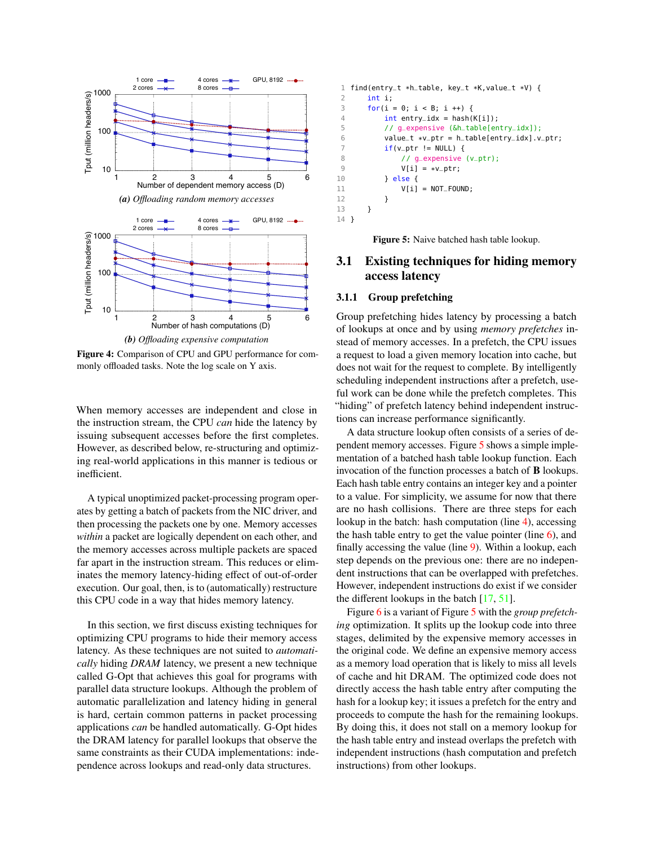<span id="page-4-1"></span><span id="page-4-0"></span>

Figure 4: Comparison of CPU and GPU performance for commonly offloaded tasks. Note the log scale on Y axis.

When memory accesses are independent and close in the instruction stream, the CPU *can* hide the latency by issuing subsequent accesses before the first completes. However, as described below, re-structuring and optimizing real-world applications in this manner is tedious or inefficient.

A typical unoptimized packet-processing program operates by getting a batch of packets from the NIC driver, and then processing the packets one by one. Memory accesses *within* a packet are logically dependent on each other, and the memory accesses across multiple packets are spaced far apart in the instruction stream. This reduces or eliminates the memory latency-hiding effect of out-of-order execution. Our goal, then, is to (automatically) restructure this CPU code in a way that hides memory latency.

In this section, we first discuss existing techniques for optimizing CPU programs to hide their memory access latency. As these techniques are not suited to *automatically* hiding *DRAM* latency, we present a new technique called G-Opt that achieves this goal for programs with parallel data structure lookups. Although the problem of automatic parallelization and latency hiding in general is hard, certain common patterns in packet processing applications *can* be handled automatically. G-Opt hides the DRAM latency for parallel lookups that observe the same constraints as their CUDA implementations: independence across lookups and read-only data structures.

```
1 find(entry_t *h_table, key_t *K,value_t *V) {
      int i:
3 for(i = 0; i < B; i +1) {
 4 int entry\_idx = hash(K[i]);5 // g_expensive (&h_table[entry_idx]);
6 value_t *v_ptr = h_table[entry_idx].v_ptr;
 7 if(v_\text{ptr} := NULL) {
8 // g_expensive (v_ptr);
9 V[i] = *v_{-p}tr;<br>10 \frac{1}{e^{i}se^{i}}\} else {
11 V[i] = NOT_FOUND;12 }
13 }
14 }
```
<span id="page-4-5"></span>Figure 5: Naive batched hash table lookup.

## 3.1 Existing techniques for hiding memory access latency

#### 3.1.1 Group prefetching

Group prefetching hides latency by processing a batch of lookups at once and by using *memory prefetches* instead of memory accesses. In a prefetch, the CPU issues a request to load a given memory location into cache, but does not wait for the request to complete. By intelligently scheduling independent instructions after a prefetch, useful work can be done while the prefetch completes. This "hiding" of prefetch latency behind independent instructions can increase performance significantly.

A data structure lookup often consists of a series of dependent memory accesses. Figure [5](#page-4-2) shows a simple implementation of a batched hash table lookup function. Each invocation of the function processes a batch of B lookups. Each hash table entry contains an integer key and a pointer to a value. For simplicity, we assume for now that there are no hash collisions. There are three steps for each lookup in the batch: hash computation (line [4\)](#page-4-3), accessing the hash table entry to get the value pointer (line  $6$ ), and finally accessing the value (line [9\)](#page-4-5). Within a lookup, each step depends on the previous one: there are no independent instructions that can be overlapped with prefetches. However, independent instructions do exist if we consider the different lookups in the batch [\[17,](#page-13-6) [51\]](#page-14-2).

Figure [6](#page-5-0) is a variant of Figure [5](#page-4-2) with the *group prefetching* optimization. It splits up the lookup code into three stages, delimited by the expensive memory accesses in the original code. We define an expensive memory access as a memory load operation that is likely to miss all levels of cache and hit DRAM. The optimized code does not directly access the hash table entry after computing the hash for a lookup key; it issues a prefetch for the entry and proceeds to compute the hash for the remaining lookups. By doing this, it does not stall on a memory lookup for the hash table entry and instead overlaps the prefetch with independent instructions (hash computation and prefetch instructions) from other lookups.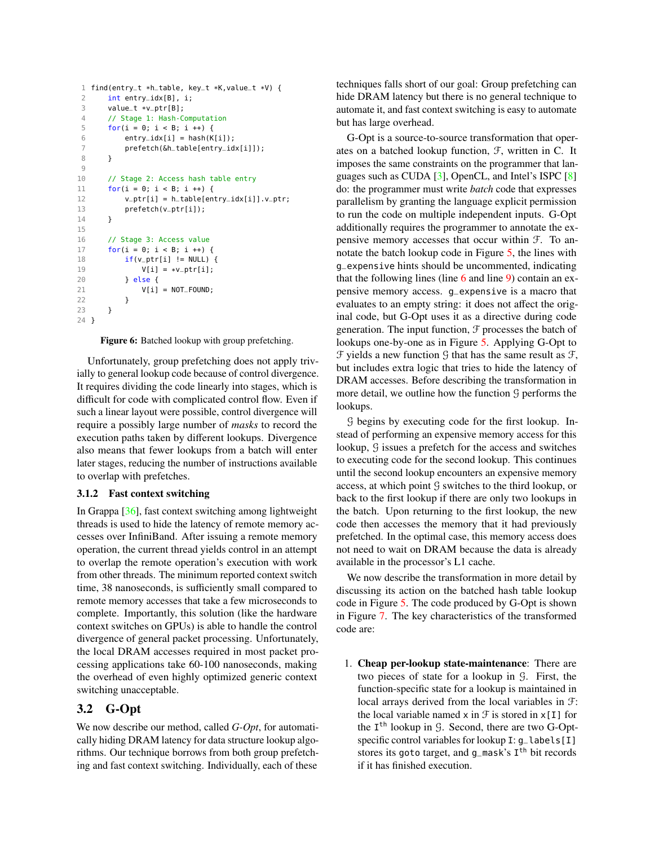```
1 find(entry_t *h_table, key_t *K, value_t *V) {<br>2 int entry idx[R] i.
          int entry_idx[B], i;
 3 value_t *v_ptr[B];
 4 // Stage 1: Hash-Computation
 5 for(i = 0; i < B; i +1) {
 6 entry_idx[i] = hash(K[i]);
 7 prefetch(&h_table[entry_idx[i]]);
 8 }
 Q10 // Stage 2: Access hash table entry
11 for(i = 0; i < B; i++) {
12 v_ptr[i] = h_table[entry_idx[i]].v_ptr;
13 prefetch(v_ptr[i]);
14 }
15
16 // Stage 3: Access value
17 for(i = 0; i < B; i++) {
18 if(v_ptr[i] != NULL) {
19 V[i] = *v_{p}tr[i];<br>20 \leftarrow \leftarrow \leftarrow \leftarrow \leftarrow \leftarrow \leftarrow \leftarrow \leftarrow \leftarrow \leftarrow \leftarrow \leftarrow \leftarrow \leftarrow \leftarrow \leftarrow \leftarrow \leftarrow \leftarrow \leftarrow \leftarrow \leftarrow \leftarrow \leftarrow \leftarrow \leftarrow \leftarrow \leftarrow \leftarrow \leftarrow \leftarrow \leftarrow \\} else {
21 V[i] = NOT_FOUND;
22 }
23 }
24 }
```
Figure 6: Batched lookup with group prefetching.

Unfortunately, group prefetching does not apply trivially to general lookup code because of control divergence. It requires dividing the code linearly into stages, which is difficult for code with complicated control flow. Even if such a linear layout were possible, control divergence will require a possibly large number of *masks* to record the execution paths taken by different lookups. Divergence also means that fewer lookups from a batch will enter later stages, reducing the number of instructions available to overlap with prefetches.

#### 3.1.2 Fast context switching

In Grappa [\[36\]](#page-13-13), fast context switching among lightweight threads is used to hide the latency of remote memory accesses over InfiniBand. After issuing a remote memory operation, the current thread yields control in an attempt to overlap the remote operation's execution with work from other threads. The minimum reported context switch time, 38 nanoseconds, is sufficiently small compared to remote memory accesses that take a few microseconds to complete. Importantly, this solution (like the hardware context switches on GPUs) is able to handle the control divergence of general packet processing. Unfortunately, the local DRAM accesses required in most packet processing applications take 60-100 nanoseconds, making the overhead of even highly optimized generic context switching unacceptable.

## 3.2 G-Opt

We now describe our method, called *G-Opt*, for automatically hiding DRAM latency for data structure lookup algorithms. Our technique borrows from both group prefetching and fast context switching. Individually, each of these

techniques falls short of our goal: Group prefetching can hide DRAM latency but there is no general technique to automate it, and fast context switching is easy to automate but has large overhead.

G-Opt is a source-to-source transformation that operates on a batched lookup function, F, written in C. It imposes the same constraints on the programmer that languages such as CUDA [\[3\]](#page-13-14), OpenCL, and Intel's ISPC [\[8\]](#page-13-7) do: the programmer must write *batch* code that expresses parallelism by granting the language explicit permission to run the code on multiple independent inputs. G-Opt additionally requires the programmer to annotate the expensive memory accesses that occur within F. To annotate the batch lookup code in Figure [5,](#page-4-2) the lines with g\_expensive hints should be uncommented, indicating that the following lines (line  $6$  and line  $9$ ) contain an expensive memory access. g\_expensive is a macro that evaluates to an empty string: it does not affect the original code, but G-Opt uses it as a directive during code generation. The input function,  $\mathcal F$  processes the batch of lookups one-by-one as in Figure [5.](#page-4-2) Applying G-Opt to  $\mathcal F$  yields a new function  $\mathcal G$  that has the same result as  $\mathcal F$ , but includes extra logic that tries to hide the latency of DRAM accesses. Before describing the transformation in more detail, we outline how the function  $\mathcal G$  performs the lookups.

G begins by executing code for the first lookup. Instead of performing an expensive memory access for this lookup, G issues a prefetch for the access and switches to executing code for the second lookup. This continues until the second lookup encounters an expensive memory access, at which point G switches to the third lookup, or back to the first lookup if there are only two lookups in the batch. Upon returning to the first lookup, the new code then accesses the memory that it had previously prefetched. In the optimal case, this memory access does not need to wait on DRAM because the data is already available in the processor's L1 cache.

We now describe the transformation in more detail by discussing its action on the batched hash table lookup code in Figure [5.](#page-4-2) The code produced by G-Opt is shown in Figure [7.](#page-6-0) The key characteristics of the transformed code are:

1. Cheap per-lookup state-maintenance: There are two pieces of state for a lookup in G. First, the function-specific state for a lookup is maintained in local arrays derived from the local variables in F: the local variable named  $x$  in  $\mathcal F$  is stored in  $x[I]$  for the  $I<sup>th</sup>$  lookup in  $G$ . Second, there are two G-Optspecific control variables for lookup I: g\_labels[I] stores its goto target, and g\_mask's I<sup>th</sup> bit records if it has finished execution.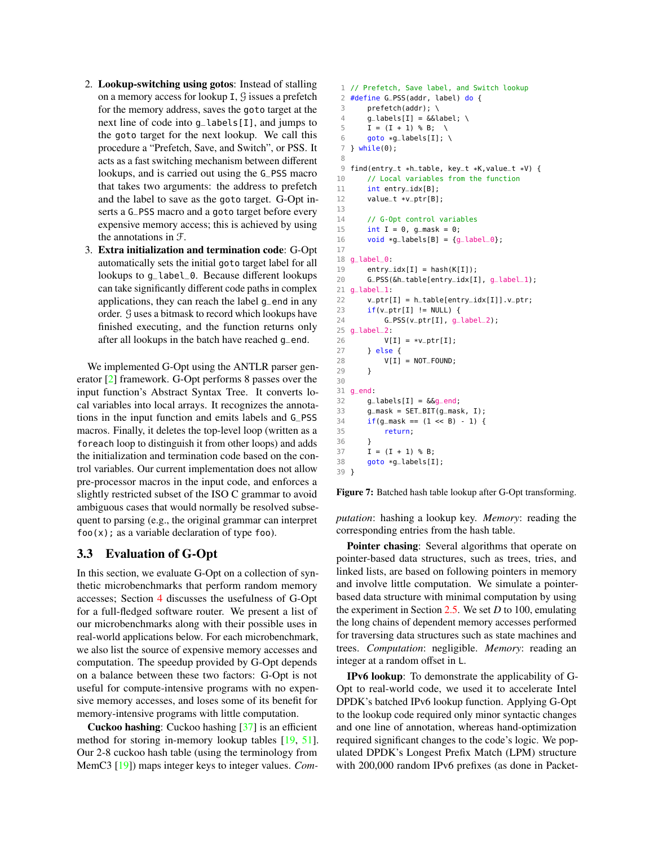- 2. Lookup-switching using gotos: Instead of stalling on a memory access for lookup I, G issues a prefetch for the memory address, saves the goto target at the next line of code into g\_labels[I], and jumps to the goto target for the next lookup. We call this procedure a "Prefetch, Save, and Switch", or PSS. It acts as a fast switching mechanism between different lookups, and is carried out using the G\_PSS macro that takes two arguments: the address to prefetch and the label to save as the goto target. G-Opt inserts a G\_PSS macro and a goto target before every expensive memory access; this is achieved by using the annotations in F.
- 3. Extra initialization and termination code: G-Opt automatically sets the initial goto target label for all lookups to g\_label\_0. Because different lookups can take significantly different code paths in complex applications, they can reach the label g\_end in any order. G uses a bitmask to record which lookups have finished executing, and the function returns only after all lookups in the batch have reached g\_end.

We implemented G-Opt using the ANTLR parser generator [\[2\]](#page-13-15) framework. G-Opt performs 8 passes over the input function's Abstract Syntax Tree. It converts local variables into local arrays. It recognizes the annotations in the input function and emits labels and G\_PSS macros. Finally, it deletes the top-level loop (written as a foreach loop to distinguish it from other loops) and adds the initialization and termination code based on the control variables. Our current implementation does not allow pre-processor macros in the input code, and enforces a slightly restricted subset of the ISO C grammar to avoid ambiguous cases that would normally be resolved subsequent to parsing (e.g., the original grammar can interpret  $foo(x)$ ; as a variable declaration of type foo).

#### <span id="page-6-1"></span>3.3 Evaluation of G-Opt

In this section, we evaluate G-Opt on a collection of synthetic microbenchmarks that perform random memory accesses; Section [4](#page-7-0) discusses the usefulness of G-Opt for a full-fledged software router. We present a list of our microbenchmarks along with their possible uses in real-world applications below. For each microbenchmark, we also list the source of expensive memory accesses and computation. The speedup provided by G-Opt depends on a balance between these two factors: G-Opt is not useful for compute-intensive programs with no expensive memory accesses, and loses some of its benefit for memory-intensive programs with little computation.

Cuckoo hashing: Cuckoo hashing [\[37\]](#page-13-16) is an efficient method for storing in-memory lookup tables [\[19,](#page-13-17) [51\]](#page-14-2). Our 2-8 cuckoo hash table (using the terminology from MemC3 [\[19\]](#page-13-17)) maps integer keys to integer values. *Com-*

```
1 // Prefetch, Save label, and Switch lookup
2 #define G_PSS(addr, label) do {
3 prefetch(addr); \
 4 g_{\text{alabels}}[I] = \&\&\text{label; } \&5 I = (I + 1) % B; \
 6 goto *q_labels[I]; \
 7 } while(0);
8
9 find(entry_t *h_table, key_t *K,value_t *V) {
10 // Local variables from the function
11 int entry_idx[B];
12 value_t *v_ptr[B];
13
14 // G-Opt control variables
15 int I = 0, q_mask = 0;
16 void *g_{\text{-}}labels[B] = {g_label_0};
17
18 g_label_0:
19 entry_idx[I] = hash(K[I]);
20 G_PSS(&h_table[entry_idx[I], g_label_1);
21 g_label_1:
22 v_ptr[I] = h_table[entry_idx[I]].v_ptr;
23 if(v_ptr[I] != NULL) {
24 G_PSS(v_ptr[I], g_label_2);25 g_label_2:
26 V[I] = *v_{p}tr[I];<br>27 } else {
      27 } else {
28 V[I] = NOT_FOUND;
29 }
30
31 g_end:
32 \qquad g_{\text{-}}labels[I] = \&g_{\text{-}}end;
33 g_mask = SET_BIT(g_mask, I);
34 if(g\_mask == (1 \ll B) - 1) {
35 return;
36 }
37 I = (I + 1) % B;
38 goto *g_labels[I];
39 }
```
Figure 7: Batched hash table lookup after G-Opt transforming.

*putation*: hashing a lookup key. *Memory*: reading the corresponding entries from the hash table.

Pointer chasing: Several algorithms that operate on pointer-based data structures, such as trees, tries, and linked lists, are based on following pointers in memory and involve little computation. We simulate a pointerbased data structure with minimal computation by using the experiment in Section [2.5.](#page-2-2) We set *D* to 100, emulating the long chains of dependent memory accesses performed for traversing data structures such as state machines and trees. *Computation*: negligible. *Memory*: reading an integer at a random offset in L.

IPv6 lookup: To demonstrate the applicability of G-Opt to real-world code, we used it to accelerate Intel DPDK's batched IPv6 lookup function. Applying G-Opt to the lookup code required only minor syntactic changes and one line of annotation, whereas hand-optimization required significant changes to the code's logic. We populated DPDK's Longest Prefix Match (LPM) structure with 200,000 random IPv6 prefixes (as done in Packet-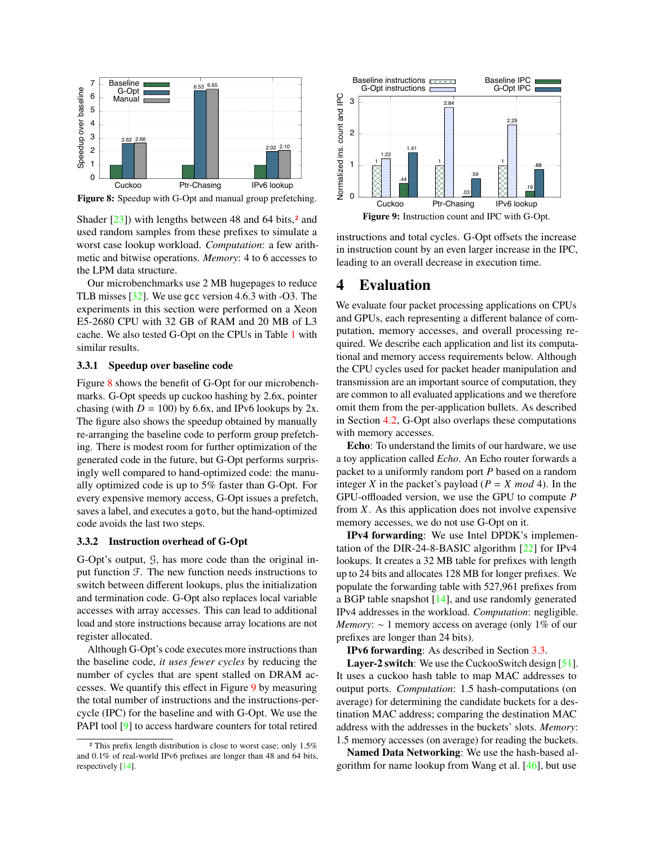<span id="page-7-2"></span>

Figure 8: Speedup with G-Opt and manual group prefetching.

Shader  $[23]$ ) with lengths between 48 and 64 bits[,](#page-7-1)<sup>2</sup> and used random samples from these prefixes to simulate a worst case lookup workload. *Computation*: a few arithmetic and bitwise operations. *Memory*: 4 to 6 accesses to the LPM data structure.

Our microbenchmarks use 2 MB hugepages to reduce TLB misses [\[32\]](#page-13-9). We use gcc version 4.6.3 with -O3. The experiments in this section were performed on a Xeon E5-2680 CPU with 32 GB of RAM and 20 MB of L3 cache. We also tested G-Opt on the CPUs in Table [1](#page-3-1) with similar results.

#### 3.3.1 Speedup over baseline code

Figure [8](#page-7-2) shows the benefit of G-Opt for our microbenchmarks. G-Opt speeds up cuckoo hashing by 2.6x, pointer chasing (with  $D = 100$ ) by 6.6x, and IPv6 lookups by 2x. The figure also shows the speedup obtained by manually re-arranging the baseline code to perform group prefetching. There is modest room for further optimization of the generated code in the future, but G-Opt performs surprisingly well compared to hand-optimized code: the manually optimized code is up to 5% faster than G-Opt. For every expensive memory access, G-Opt issues a prefetch, saves a label, and executes a goto, but the hand-optimized code avoids the last two steps.

#### 3.3.2 Instruction overhead of G-Opt

G-Opt's output, G, has more code than the original input function  $\mathcal{F}$ . The new function needs instructions to switch between different lookups, plus the initialization and termination code. G-Opt also replaces local variable accesses with array accesses. This can lead to additional load and store instructions because array locations are not register allocated.

Although G-Opt's code executes more instructions than the baseline code, *it uses fewer cycles* by reducing the number of cycles that are spent stalled on DRAM accesses. We quantify this effect in Figure [9](#page-7-3) by measuring the total number of instructions and the instructions-percycle (IPC) for the baseline and with G-Opt. We use the PAPI tool [\[9\]](#page-13-18) to access hardware counters for total retired

<span id="page-7-3"></span>

instructions and total cycles. G-Opt offsets the increase in instruction count by an even larger increase in the IPC, leading to an overall decrease in execution time.

## <span id="page-7-0"></span>4 Evaluation

We evaluate four packet processing applications on CPUs and GPUs, each representing a different balance of computation, memory accesses, and overall processing required. We describe each application and list its computational and memory access requirements below. Although the CPU cycles used for packet header manipulation and transmission are an important source of computation, they are common to all evaluated applications and we therefore omit them from the per-application bullets. As described in Section [4.2,](#page-8-0) G-Opt also overlaps these computations with memory accesses.

Echo: To understand the limits of our hardware, we use a toy application called *Echo*. An Echo router forwards a packet to a uniformly random port *P* based on a random integer *X* in the packet's payload ( $P = X \mod 4$ ). In the GPU-offloaded version, we use the GPU to compute *P* from *X*. As this application does not involve expensive memory accesses, we do not use G-Opt on it.

IPv4 forwarding: We use Intel DPDK's implementation of the DIR-24-8-BASIC algorithm [\[22\]](#page-13-20) for IPv4 lookups. It creates a 32 MB table for prefixes with length up to 24 bits and allocates 128 MB for longer prefixes. We populate the forwarding table with 527,961 prefixes from a BGP table snapshot [\[14\]](#page-13-19), and use randomly generated IPv4 addresses in the workload. *Computation*: negligible. *Memory*: ∼ 1 memory access on average (only 1% of our prefixes are longer than 24 bits).

IPv6 forwarding: As described in Section [3.3.](#page-6-1)

Layer-2 switch: We use the CuckooSwitch design [\[51\]](#page-14-2). It uses a cuckoo hash table to map MAC addresses to output ports. *Computation*: 1.5 hash-computations (on average) for determining the candidate buckets for a destination MAC address; comparing the destination MAC address with the addresses in the buckets' slots. *Memory*: 1.5 memory accesses (on average) for reading the buckets.

Named Data Networking: We use the hash-based algorithm for name lookup from Wang et al. [\[46\]](#page-14-3), but use

<span id="page-7-1"></span> $\overline{a}$  This prefix length distribution is close to worst case; only 1.5% and 0.1% of real-world IPv6 prefixes are longer than 48 and 64 bits, respectively [\[14\]](#page-13-19).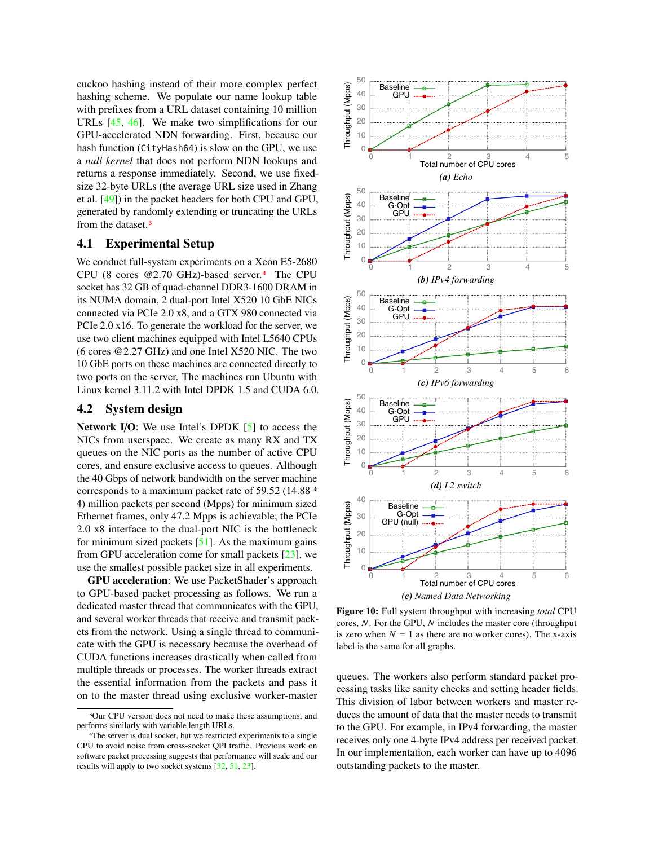cuckoo hashing instead of their more complex perfect hashing scheme. We populate our name lookup table with prefixes from a URL dataset containing 10 million URLs [\[45,](#page-14-4) [46\]](#page-14-3). We make two simplifications for our GPU-accelerated NDN forwarding. First, because our hash function (CityHash64) is slow on the GPU, we use a *null kernel* that does not perform NDN lookups and returns a response immediately. Second, we use fixedsize 32-byte URLs (the average URL size used in Zhang et al. [\[49\]](#page-14-5)) in the packet headers for both CPU and GPU, generated by randomly extending or truncating the URLs from the dataset[.](#page-8-1)<sup>3</sup>

## 4.1 Experimental Setup

We conduct full-system experiments on a Xeon E5-2680 CPU (8 cores @2.70 GHz)-based server[.](#page-8-2)<sup>4</sup> The CPU socket has 32 GB of quad-channel DDR3-1600 DRAM in its NUMA domain, 2 dual-port Intel X520 10 GbE NICs connected via PCIe 2.0 x8, and a GTX 980 connected via PCIe 2.0 x16. To generate the workload for the server, we use two client machines equipped with Intel L5640 CPUs (6 cores @2.27 GHz) and one Intel X520 NIC. The two 10 GbE ports on these machines are connected directly to two ports on the server. The machines run Ubuntu with Linux kernel 3.11.2 with Intel DPDK 1.5 and CUDA 6.0.

## <span id="page-8-0"></span>4.2 System design

Network I/O: We use Intel's DPDK  $[5]$  to access the NICs from userspace. We create as many RX and TX queues on the NIC ports as the number of active CPU cores, and ensure exclusive access to queues. Although the 40 Gbps of network bandwidth on the server machine corresponds to a maximum packet rate of 59.52 (14.88 \* 4) million packets per second (Mpps) for minimum sized Ethernet frames, only 47.2 Mpps is achievable; the PCIe 2.0 x8 interface to the dual-port NIC is the bottleneck for minimum sized packets  $[51]$ . As the maximum gains from GPU acceleration come for small packets [\[23\]](#page-13-2), we use the smallest possible packet size in all experiments.

GPU acceleration: We use PacketShader's approach to GPU-based packet processing as follows. We run a dedicated master thread that communicates with the GPU, and several worker threads that receive and transmit packets from the network. Using a single thread to communicate with the GPU is necessary because the overhead of CUDA functions increases drastically when called from multiple threads or processes. The worker threads extract the essential information from the packets and pass it on to the master thread using exclusive worker-master

<span id="page-8-5"></span><span id="page-8-4"></span><span id="page-8-3"></span>

<span id="page-8-7"></span><span id="page-8-6"></span>Figure 10: Full system throughput with increasing *total* CPU cores, *N*. For the GPU, *N* includes the master core (throughput is zero when  $N = 1$  as there are no worker cores). The x-axis label is the same for all graphs.

queues. The workers also perform standard packet processing tasks like sanity checks and setting header fields. This division of labor between workers and master reduces the amount of data that the master needs to transmit to the GPU. For example, in IPv4 forwarding, the master receives only one 4-byte IPv4 address per received packet. In our implementation, each worker can have up to 4096 outstanding packets to the master.

<span id="page-8-1"></span><sup>3</sup>Our CPU version does not need to make these assumptions, and performs similarly with variable length URLs.

<span id="page-8-2"></span><sup>4</sup>The server is dual socket, but we restricted experiments to a single CPU to avoid noise from cross-socket QPI traffic. Previous work on software packet processing suggests that performance will scale and our results will apply to two socket systems [\[32,](#page-13-9) [51,](#page-14-2) [23\]](#page-13-2).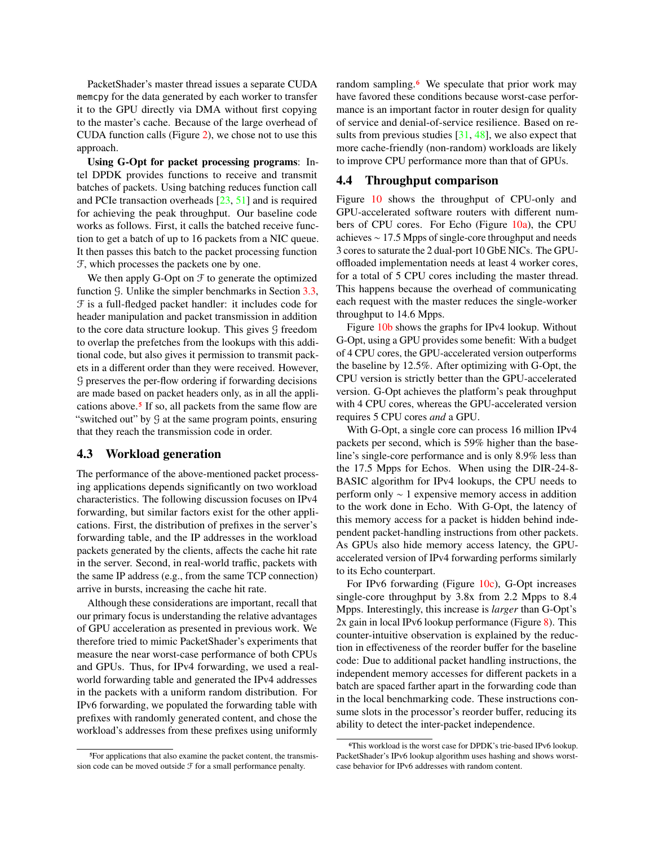PacketShader's master thread issues a separate CUDA memcpy for the data generated by each worker to transfer it to the GPU directly via DMA without first copying to the master's cache. Because of the large overhead of CUDA function calls (Figure [2\)](#page-2-0), we chose not to use this approach.

Using G-Opt for packet processing programs: Intel DPDK provides functions to receive and transmit batches of packets. Using batching reduces function call and PCIe transaction overheads [\[23,](#page-13-2) [51\]](#page-14-2) and is required for achieving the peak throughput. Our baseline code works as follows. First, it calls the batched receive function to get a batch of up to 16 packets from a NIC queue. It then passes this batch to the packet processing function F, which processes the packets one by one.

We then apply G-Opt on  $\mathcal F$  to generate the optimized function G. Unlike the simpler benchmarks in Section [3.3,](#page-6-1) F is a full-fledged packet handler: it includes code for header manipulation and packet transmission in addition to the core data structure lookup. This gives G freedom to overlap the prefetches from the lookups with this additional code, but also gives it permission to transmit packets in a different order than they were received. However, G preserves the per-flow ordering if forwarding decisions are made based on packet headers only, as in all the appli-cations above[.](#page-9-0)<sup>5</sup> If so, all packets from the same flow are "switched out" by G at the same program points, ensuring that they reach the transmission code in order.

#### 4.3 Workload generation

The performance of the above-mentioned packet processing applications depends significantly on two workload characteristics. The following discussion focuses on IPv4 forwarding, but similar factors exist for the other applications. First, the distribution of prefixes in the server's forwarding table, and the IP addresses in the workload packets generated by the clients, affects the cache hit rate in the server. Second, in real-world traffic, packets with the same IP address (e.g., from the same TCP connection) arrive in bursts, increasing the cache hit rate.

Although these considerations are important, recall that our primary focus is understanding the relative advantages of GPU acceleration as presented in previous work. We therefore tried to mimic PacketShader's experiments that measure the near worst-case performance of both CPUs and GPUs. Thus, for IPv4 forwarding, we used a realworld forwarding table and generated the IPv4 addresses in the packets with a uniform random distribution. For IPv6 forwarding, we populated the forwarding table with prefixes with randomly generated content, and chose the workload's addresses from these prefixes using uniformly random sampling[.](#page-9-1)<sup>6</sup> We speculate that prior work may have favored these conditions because worst-case performance is an important factor in router design for quality of service and denial-of-service resilience. Based on results from previous studies  $[31, 48]$  $[31, 48]$  $[31, 48]$ , we also expect that more cache-friendly (non-random) workloads are likely to improve CPU performance more than that of GPUs.

### 4.4 Throughput comparison

Figure [10](#page-8-3) shows the throughput of CPU-only and GPU-accelerated software routers with different numbers of CPU cores. For Echo (Figure  $10a$ ), the CPU achieves ∼ 17.5 Mpps of single-core throughput and needs 3 cores to saturate the 2 dual-port 10 GbE NICs. The GPUoffloaded implementation needs at least 4 worker cores, for a total of 5 CPU cores including the master thread. This happens because the overhead of communicating each request with the master reduces the single-worker throughput to 14.6 Mpps.

Figure [10b](#page-8-5) shows the graphs for IPv4 lookup. Without G-Opt, using a GPU provides some benefit: With a budget of 4 CPU cores, the GPU-accelerated version outperforms the baseline by 12.5%. After optimizing with G-Opt, the CPU version is strictly better than the GPU-accelerated version. G-Opt achieves the platform's peak throughput with 4 CPU cores, whereas the GPU-accelerated version requires 5 CPU cores *and* a GPU.

With G-Opt, a single core can process 16 million IPv4 packets per second, which is 59% higher than the baseline's single-core performance and is only 8.9% less than the 17.5 Mpps for Echos. When using the DIR-24-8- BASIC algorithm for IPv4 lookups, the CPU needs to perform only ∼ 1 expensive memory access in addition to the work done in Echo. With G-Opt, the latency of this memory access for a packet is hidden behind independent packet-handling instructions from other packets. As GPUs also hide memory access latency, the GPUaccelerated version of IPv4 forwarding performs similarly to its Echo counterpart.

For IPv6 forwarding (Figure [10c\)](#page-8-6), G-Opt increases single-core throughput by 3.8x from 2.2 Mpps to 8.4 Mpps. Interestingly, this increase is *larger* than G-Opt's 2x gain in local IPv6 lookup performance (Figure [8\)](#page-7-2). This counter-intuitive observation is explained by the reduction in effectiveness of the reorder buffer for the baseline code: Due to additional packet handling instructions, the independent memory accesses for different packets in a batch are spaced farther apart in the forwarding code than in the local benchmarking code. These instructions consume slots in the processor's reorder buffer, reducing its ability to detect the inter-packet independence.

<span id="page-9-0"></span><sup>5</sup>For applications that also examine the packet content, the transmission code can be moved outside  $\mathcal F$  for a small performance penalty.

<span id="page-9-1"></span><sup>6</sup>This workload is the worst case for DPDK's trie-based IPv6 lookup. PacketShader's IPv6 lookup algorithm uses hashing and shows worstcase behavior for IPv6 addresses with random content.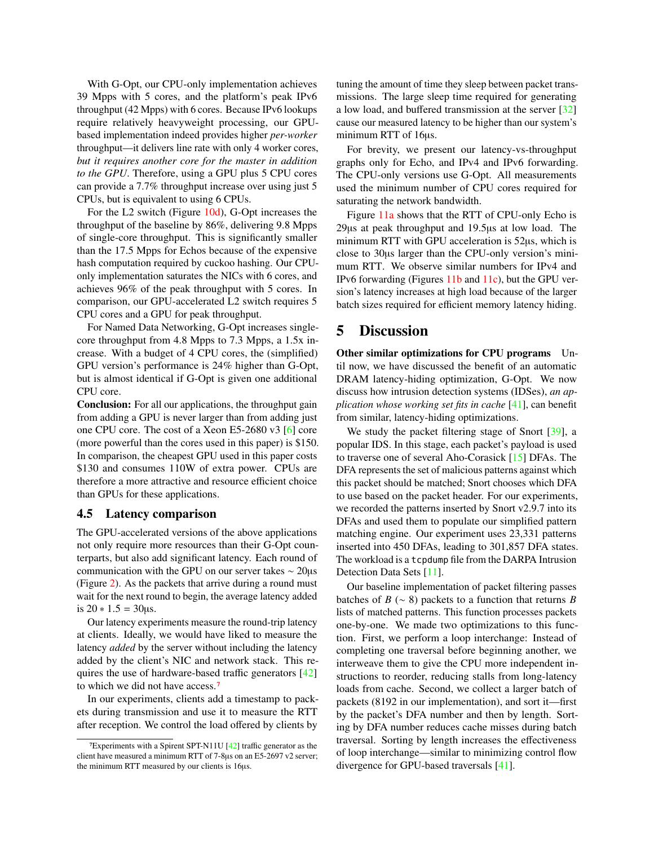With G-Opt, our CPU-only implementation achieves 39 Mpps with 5 cores, and the platform's peak IPv6 throughput (42 Mpps) with 6 cores. Because IPv6 lookups require relatively heavyweight processing, our GPUbased implementation indeed provides higher *per-worker* throughput—it delivers line rate with only 4 worker cores, *but it requires another core for the master in addition to the GPU*. Therefore, using a GPU plus 5 CPU cores can provide a 7.7% throughput increase over using just 5 CPUs, but is equivalent to using 6 CPUs.

For the L2 switch (Figure [10d\)](#page-8-7), G-Opt increases the throughput of the baseline by 86%, delivering 9.8 Mpps of single-core throughput. This is significantly smaller than the 17.5 Mpps for Echos because of the expensive hash computation required by cuckoo hashing. Our CPUonly implementation saturates the NICs with 6 cores, and achieves 96% of the peak throughput with 5 cores. In comparison, our GPU-accelerated L2 switch requires 5 CPU cores and a GPU for peak throughput.

For Named Data Networking, G-Opt increases singlecore throughput from 4.8 Mpps to 7.3 Mpps, a 1.5x increase. With a budget of 4 CPU cores, the (simplified) GPU version's performance is 24% higher than G-Opt, but is almost identical if G-Opt is given one additional CPU core.

Conclusion: For all our applications, the throughput gain from adding a GPU is never larger than from adding just one CPU core. The cost of a Xeon E5-2680 v3 [\[6\]](#page-13-22) core (more powerful than the cores used in this paper) is \$150. In comparison, the cheapest GPU used in this paper costs \$130 and consumes 110W of extra power. CPUs are therefore a more attractive and resource efficient choice than GPUs for these applications.

#### 4.5 Latency comparison

The GPU-accelerated versions of the above applications not only require more resources than their G-Opt counterparts, but also add significant latency. Each round of communication with the GPU on our server takes ∼ 20µs (Figure [2\)](#page-2-0). As the packets that arrive during a round must wait for the next round to begin, the average latency added is  $20 * 1.5 = 30 \mu s$ .

Our latency experiments measure the round-trip latency at clients. Ideally, we would have liked to measure the latency *added* by the server without including the latency added by the client's NIC and network stack. This requires the use of hardware-based traffic generators [\[42\]](#page-13-23) to which we did not have access.[7](#page-10-0)

In our experiments, clients add a timestamp to packets during transmission and use it to measure the RTT after reception. We control the load offered by clients by

tuning the amount of time they sleep between packet transmissions. The large sleep time required for generating a low load, and buffered transmission at the server [\[32\]](#page-13-9) cause our measured latency to be higher than our system's minimum RTT of 16µs.

For brevity, we present our latency-vs-throughput graphs only for Echo, and IPv4 and IPv6 forwarding. The CPU-only versions use G-Opt. All measurements used the minimum number of CPU cores required for saturating the network bandwidth.

Figure [11a](#page-11-0) shows that the RTT of CPU-only Echo is 29µs at peak throughput and 19.5µs at low load. The minimum RTT with GPU acceleration is 52µs, which is close to 30µs larger than the CPU-only version's minimum RTT. We observe similar numbers for IPv4 and IPv6 forwarding (Figures [11b](#page-11-1) and [11c\)](#page-11-2), but the GPU version's latency increases at high load because of the larger batch sizes required for efficient memory latency hiding.

## 5 Discussion

Other similar optimizations for CPU programs Until now, we have discussed the benefit of an automatic DRAM latency-hiding optimization, G-Opt. We now discuss how intrusion detection systems (IDSes), *an application whose working set fits in cache* [\[41\]](#page-13-24), can benefit from similar, latency-hiding optimizations.

We study the packet filtering stage of Snort [\[39\]](#page-13-25), a popular IDS. In this stage, each packet's payload is used to traverse one of several Aho-Corasick [\[15\]](#page-13-26) DFAs. The DFA represents the set of malicious patterns against which this packet should be matched; Snort chooses which DFA to use based on the packet header. For our experiments, we recorded the patterns inserted by Snort v2.9.7 into its DFAs and used them to populate our simplified pattern matching engine. Our experiment uses 23,331 patterns inserted into 450 DFAs, leading to 301,857 DFA states. The workload is a tcpdump file from the DARPA Intrusion Detection Data Sets [\[11\]](#page-13-27).

Our baseline implementation of packet filtering passes batches of *B* ( $\sim$  8) packets to a function that returns *B* lists of matched patterns. This function processes packets one-by-one. We made two optimizations to this function. First, we perform a loop interchange: Instead of completing one traversal before beginning another, we interweave them to give the CPU more independent instructions to reorder, reducing stalls from long-latency loads from cache. Second, we collect a larger batch of packets (8192 in our implementation), and sort it—first by the packet's DFA number and then by length. Sorting by DFA number reduces cache misses during batch traversal. Sorting by length increases the effectiveness of loop interchange—similar to minimizing control flow divergence for GPU-based traversals [\[41\]](#page-13-24).

<span id="page-10-0"></span><sup>7</sup>Experiments with a Spirent SPT-N11U [\[42\]](#page-13-23) traffic generator as the client have measured a minimum RTT of 7-8µs on an E5-2697 v2 server; the minimum RTT measured by our clients is 16µs.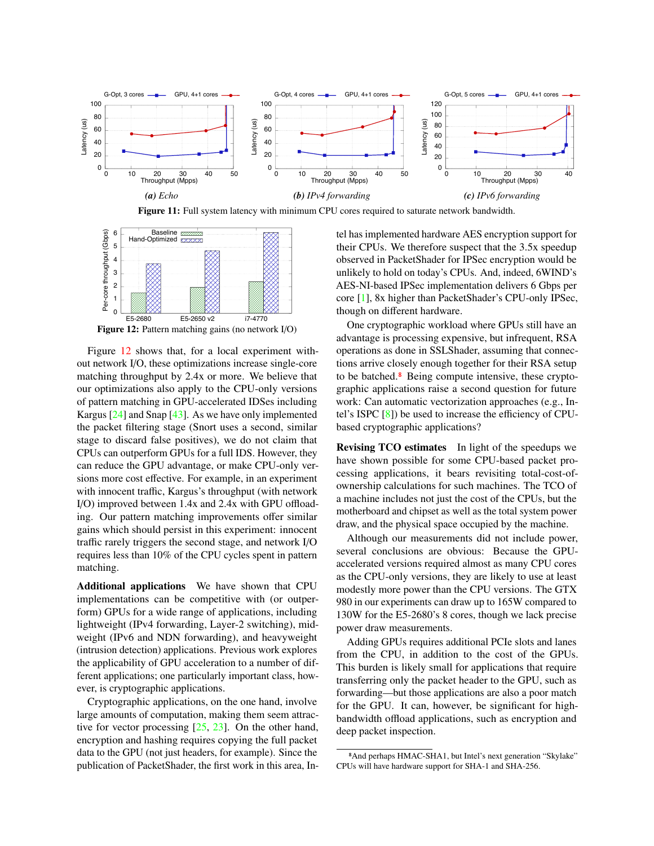<span id="page-11-0"></span>



<span id="page-11-3"></span>

Figure 12: Pattern matching gains (no network I/O)

Figure [12](#page-11-3) shows that, for a local experiment without network I/O, these optimizations increase single-core matching throughput by 2.4x or more. We believe that our optimizations also apply to the CPU-only versions of pattern matching in GPU-accelerated IDSes including Kargus [\[24\]](#page-13-28) and Snap [\[43\]](#page-14-0). As we have only implemented the packet filtering stage (Snort uses a second, similar stage to discard false positives), we do not claim that CPUs can outperform GPUs for a full IDS. However, they can reduce the GPU advantage, or make CPU-only versions more cost effective. For example, in an experiment with innocent traffic, Kargus's throughput (with network I/O) improved between 1.4x and 2.4x with GPU offloading. Our pattern matching improvements offer similar gains which should persist in this experiment: innocent traffic rarely triggers the second stage, and network I/O requires less than 10% of the CPU cycles spent in pattern matching.

Additional applications We have shown that CPU implementations can be competitive with (or outperform) GPUs for a wide range of applications, including lightweight (IPv4 forwarding, Layer-2 switching), midweight (IPv6 and NDN forwarding), and heavyweight (intrusion detection) applications. Previous work explores the applicability of GPU acceleration to a number of different applications; one particularly important class, however, is cryptographic applications.

Cryptographic applications, on the one hand, involve large amounts of computation, making them seem attractive for vector processing  $[25, 23]$  $[25, 23]$  $[25, 23]$ . On the other hand, encryption and hashing requires copying the full packet data to the GPU (not just headers, for example). Since the publication of PacketShader, the first work in this area, In<span id="page-11-2"></span><span id="page-11-1"></span>tel has implemented hardware AES encryption support for their CPUs. We therefore suspect that the 3.5x speedup observed in PacketShader for IPSec encryption would be unlikely to hold on today's CPUs. And, indeed, 6WIND's AES-NI-based IPSec implementation delivers 6 Gbps per core [\[1\]](#page-13-30), 8x higher than PacketShader's CPU-only IPSec, though on different hardware.

One cryptographic workload where GPUs still have an advantage is processing expensive, but infrequent, RSA operations as done in SSLShader, assuming that connections arrive closely enough together for their RSA setup to be batched[.](#page-11-4)<sup>8</sup> Being compute intensive, these cryptographic applications raise a second question for future work: Can automatic vectorization approaches (e.g., Intel's ISPC [\[8\]](#page-13-7)) be used to increase the efficiency of CPUbased cryptographic applications?

Revising TCO estimates In light of the speedups we have shown possible for some CPU-based packet processing applications, it bears revisiting total-cost-ofownership calculations for such machines. The TCO of a machine includes not just the cost of the CPUs, but the motherboard and chipset as well as the total system power draw, and the physical space occupied by the machine.

Although our measurements did not include power, several conclusions are obvious: Because the GPUaccelerated versions required almost as many CPU cores as the CPU-only versions, they are likely to use at least modestly more power than the CPU versions. The GTX 980 in our experiments can draw up to 165W compared to 130W for the E5-2680's 8 cores, though we lack precise power draw measurements.

Adding GPUs requires additional PCIe slots and lanes from the CPU, in addition to the cost of the GPUs. This burden is likely small for applications that require transferring only the packet header to the GPU, such as forwarding—but those applications are also a poor match for the GPU. It can, however, be significant for highbandwidth offload applications, such as encryption and deep packet inspection.

<span id="page-11-4"></span><sup>8</sup>And perhaps HMAC-SHA1, but Intel's next generation "Skylake" CPUs will have hardware support for SHA-1 and SHA-256.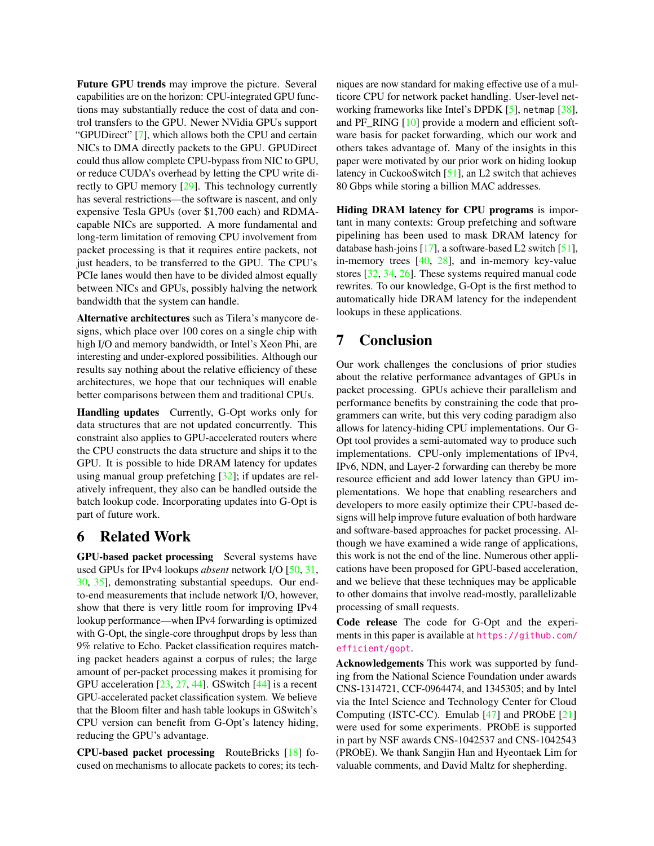Future GPU trends may improve the picture. Several capabilities are on the horizon: CPU-integrated GPU functions may substantially reduce the cost of data and control transfers to the GPU. Newer NVidia GPUs support "GPUDirect" [\[7\]](#page-13-31), which allows both the CPU and certain NICs to DMA directly packets to the GPU. GPUDirect could thus allow complete CPU-bypass from NIC to GPU, or reduce CUDA's overhead by letting the CPU write directly to GPU memory [\[29\]](#page-13-32). This technology currently has several restrictions—the software is nascent, and only expensive Tesla GPUs (over \$1,700 each) and RDMAcapable NICs are supported. A more fundamental and long-term limitation of removing CPU involvement from packet processing is that it requires entire packets, not just headers, to be transferred to the GPU. The CPU's PCIe lanes would then have to be divided almost equally between NICs and GPUs, possibly halving the network bandwidth that the system can handle.

Alternative architectures such as Tilera's manycore designs, which place over 100 cores on a single chip with high I/O and memory bandwidth, or Intel's Xeon Phi, are interesting and under-explored possibilities. Although our results say nothing about the relative efficiency of these architectures, we hope that our techniques will enable better comparisons between them and traditional CPUs.

Handling updates Currently, G-Opt works only for data structures that are not updated concurrently. This constraint also applies to GPU-accelerated routers where the CPU constructs the data structure and ships it to the GPU. It is possible to hide DRAM latency for updates using manual group prefetching [\[32\]](#page-13-9); if updates are relatively infrequent, they also can be handled outside the batch lookup code. Incorporating updates into G-Opt is part of future work.

## 6 Related Work

GPU-based packet processing Several systems have used GPUs for IPv4 lookups *absent* network I/O [\[50,](#page-14-1) [31,](#page-13-3) [30,](#page-13-5) [35\]](#page-13-4), demonstrating substantial speedups. Our endto-end measurements that include network I/O, however, show that there is very little room for improving IPv4 lookup performance—when IPv4 forwarding is optimized with G-Opt, the single-core throughput drops by less than 9% relative to Echo. Packet classification requires matching packet headers against a corpus of rules; the large amount of per-packet processing makes it promising for GPU acceleration  $[23, 27, 44]$  $[23, 27, 44]$  $[23, 27, 44]$  $[23, 27, 44]$  $[23, 27, 44]$ . GSwitch  $[44]$  is a recent GPU-accelerated packet classification system. We believe that the Bloom filter and hash table lookups in GSwitch's CPU version can benefit from G-Opt's latency hiding, reducing the GPU's advantage.

CPU-based packet processing RouteBricks [\[18\]](#page-13-34) focused on mechanisms to allocate packets to cores; its techniques are now standard for making effective use of a multicore CPU for network packet handling. User-level networking frameworks like Intel's DPDK [\[5\]](#page-13-21), netmap [\[38\]](#page-13-35), and PF\_RING [\[10\]](#page-13-36) provide a modern and efficient software basis for packet forwarding, which our work and others takes advantage of. Many of the insights in this paper were motivated by our prior work on hiding lookup latency in CuckooSwitch [\[51\]](#page-14-2), an L2 switch that achieves 80 Gbps while storing a billion MAC addresses.

Hiding DRAM latency for CPU programs is important in many contexts: Group prefetching and software pipelining has been used to mask DRAM latency for database hash-joins [\[17\]](#page-13-6), a software-based L2 switch [\[51\]](#page-14-2), in-memory trees  $[40, 28]$  $[40, 28]$  $[40, 28]$ , and in-memory key-value stores [\[32,](#page-13-9) [34,](#page-13-39) [26\]](#page-13-40). These systems required manual code rewrites. To our knowledge, G-Opt is the first method to automatically hide DRAM latency for the independent lookups in these applications.

# 7 Conclusion

Our work challenges the conclusions of prior studies about the relative performance advantages of GPUs in packet processing. GPUs achieve their parallelism and performance benefits by constraining the code that programmers can write, but this very coding paradigm also allows for latency-hiding CPU implementations. Our G-Opt tool provides a semi-automated way to produce such implementations. CPU-only implementations of IPv4, IPv6, NDN, and Layer-2 forwarding can thereby be more resource efficient and add lower latency than GPU implementations. We hope that enabling researchers and developers to more easily optimize their CPU-based designs will help improve future evaluation of both hardware and software-based approaches for packet processing. Although we have examined a wide range of applications, this work is not the end of the line. Numerous other applications have been proposed for GPU-based acceleration, and we believe that these techniques may be applicable to other domains that involve read-mostly, parallelizable processing of small requests.

Code release The code for G-Opt and the experiments in this paper is available at [https://github.com/](https://github.com/efficient/gopt) [efficient/gopt](https://github.com/efficient/gopt).

Acknowledgements This work was supported by funding from the National Science Foundation under awards CNS-1314721, CCF-0964474, and 1345305; and by Intel via the Intel Science and Technology Center for Cloud Computing (ISTC-CC). Emulab [\[47\]](#page-14-8) and PRObE [\[21\]](#page-13-41) were used for some experiments. PRObE is supported in part by NSF awards CNS-1042537 and CNS-1042543 (PRObE). We thank Sangjin Han and Hyeontaek Lim for valuable comments, and David Maltz for shepherding.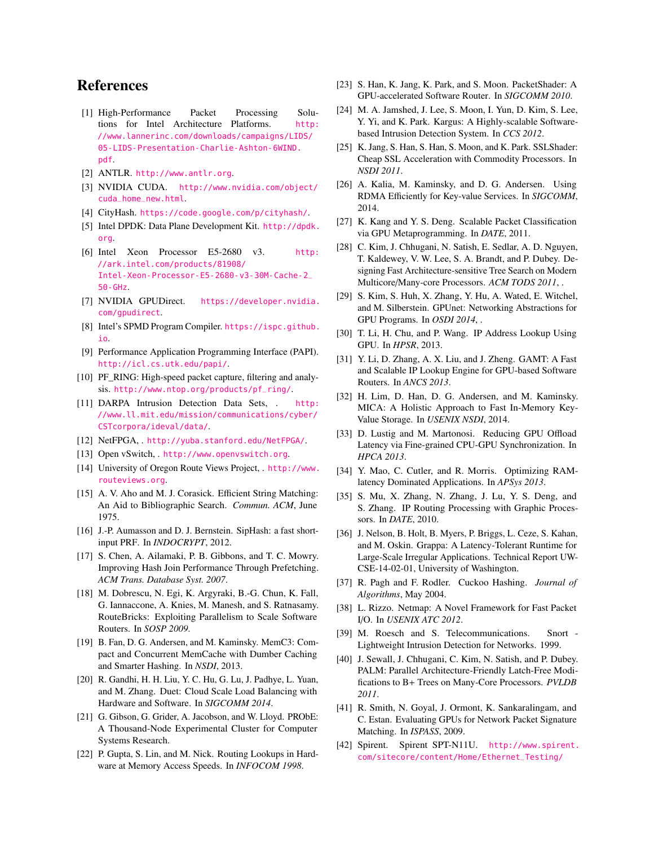# References

- <span id="page-13-30"></span>[1] High-Performance Packet Processing Solutions for Intel Architecture Platforms. [http:](http://www.lannerinc.com/downloads/campaigns/LIDS/05-LIDS-Presentation-Charlie-Ashton-6WIND.pdf) [//www.lannerinc.com/downloads/campaigns/LIDS/](http://www.lannerinc.com/downloads/campaigns/LIDS/05-LIDS-Presentation-Charlie-Ashton-6WIND.pdf) [05-LIDS-Presentation-Charlie-Ashton-6WIND.](http://www.lannerinc.com/downloads/campaigns/LIDS/05-LIDS-Presentation-Charlie-Ashton-6WIND.pdf) [pdf](http://www.lannerinc.com/downloads/campaigns/LIDS/05-LIDS-Presentation-Charlie-Ashton-6WIND.pdf).
- <span id="page-13-15"></span>[2] ANTLR. <http://www.antlr.org>.
- <span id="page-13-14"></span>[3] NVIDIA CUDA. [http://www.nvidia.com/object/](http://www.nvidia.com/object/cuda_home_new.html) [cuda\\_home\\_new.html](http://www.nvidia.com/object/cuda_home_new.html).
- <span id="page-13-11"></span>[4] CityHash. <https://code.google.com/p/cityhash/>.
- <span id="page-13-21"></span>[5] Intel DPDK: Data Plane Development Kit. [http://dpdk.](http://dpdk.org) [org](http://dpdk.org).
- <span id="page-13-22"></span>[6] Intel Xeon Processor E5-2680 v3. [http:](http://ark.intel.com/products/81908/Intel-Xeon-Processor-E5-2680-v3-30M-Cache-2_50-GHz) [//ark.intel.com/products/81908/](http://ark.intel.com/products/81908/Intel-Xeon-Processor-E5-2680-v3-30M-Cache-2_50-GHz) [Intel-Xeon-Processor-E5-2680-v3-30M-Cache-2\\_](http://ark.intel.com/products/81908/Intel-Xeon-Processor-E5-2680-v3-30M-Cache-2_50-GHz) [50-GHz](http://ark.intel.com/products/81908/Intel-Xeon-Processor-E5-2680-v3-30M-Cache-2_50-GHz).
- <span id="page-13-31"></span>[7] NVIDIA GPUDirect. [https://developer.nvidia.](https://developer.nvidia.com/gpudirect) [com/gpudirect](https://developer.nvidia.com/gpudirect).
- <span id="page-13-7"></span>[8] Intel's SPMD Program Compiler. [https://ispc.github.](https://ispc.github.io) [io](https://ispc.github.io).
- <span id="page-13-18"></span>[9] Performance Application Programming Interface (PAPI). <http://icl.cs.utk.edu/papi/>.
- <span id="page-13-36"></span>[10] PF\_RING: High-speed packet capture, filtering and analysis. [http://www.ntop.org/products/pf\\_ring/](http://www.ntop.org/products/pf_ring/).
- <span id="page-13-27"></span>[11] DARPA Intrusion Detection Data Sets, . [http:](http://www.ll.mit.edu/mission/communications/cyber/CSTcorpora/ideval/data/) [//www.ll.mit.edu/mission/communications/cyber/](http://www.ll.mit.edu/mission/communications/cyber/CSTcorpora/ideval/data/) [CSTcorpora/ideval/data/](http://www.ll.mit.edu/mission/communications/cyber/CSTcorpora/ideval/data/).
- <span id="page-13-0"></span>[12] NetFPGA, . <http://yuba.stanford.edu/NetFPGA/>.
- <span id="page-13-1"></span>[13] Open vSwitch, . <http://www.openvswitch.org>.
- <span id="page-13-19"></span>[14] University of Oregon Route Views Project, . [http://www.](http://www.routeviews.org) [routeviews.org](http://www.routeviews.org).
- <span id="page-13-26"></span>[15] A. V. Aho and M. J. Corasick. Efficient String Matching: An Aid to Bibliographic Search. *Commun. ACM*, June 1975.
- <span id="page-13-12"></span>[16] J.-P. Aumasson and D. J. Bernstein. SipHash: a fast shortinput PRF. In *INDOCRYPT*, 2012.
- <span id="page-13-6"></span>[17] S. Chen, A. Ailamaki, P. B. Gibbons, and T. C. Mowry. Improving Hash Join Performance Through Prefetching. *ACM Trans. Database Syst. 2007*.
- <span id="page-13-34"></span>[18] M. Dobrescu, N. Egi, K. Argyraki, B.-G. Chun, K. Fall, G. Iannaccone, A. Knies, M. Manesh, and S. Ratnasamy. RouteBricks: Exploiting Parallelism to Scale Software Routers. In *SOSP 2009*.
- <span id="page-13-17"></span>[19] B. Fan, D. G. Andersen, and M. Kaminsky. MemC3: Compact and Concurrent MemCache with Dumber Caching and Smarter Hashing. In *NSDI*, 2013.
- <span id="page-13-8"></span>[20] R. Gandhi, H. H. Liu, Y. C. Hu, G. Lu, J. Padhye, L. Yuan, and M. Zhang. Duet: Cloud Scale Load Balancing with Hardware and Software. In *SIGCOMM 2014*.
- <span id="page-13-41"></span>[21] G. Gibson, G. Grider, A. Jacobson, and W. Lloyd. PRObE: A Thousand-Node Experimental Cluster for Computer Systems Research.
- <span id="page-13-20"></span>[22] P. Gupta, S. Lin, and M. Nick. Routing Lookups in Hardware at Memory Access Speeds. In *INFOCOM 1998*.
- <span id="page-13-2"></span>[23] S. Han, K. Jang, K. Park, and S. Moon. PacketShader: A GPU-accelerated Software Router. In *SIGCOMM 2010*.
- <span id="page-13-28"></span>[24] M. A. Jamshed, J. Lee, S. Moon, I. Yun, D. Kim, S. Lee, Y. Yi, and K. Park. Kargus: A Highly-scalable Softwarebased Intrusion Detection System. In *CCS 2012*.
- <span id="page-13-29"></span>[25] K. Jang, S. Han, S. Han, S. Moon, and K. Park. SSLShader: Cheap SSL Acceleration with Commodity Processors. In *NSDI 2011*.
- <span id="page-13-40"></span>[26] A. Kalia, M. Kaminsky, and D. G. Andersen. Using RDMA Efficiently for Key-value Services. In *SIGCOMM*, 2014.
- <span id="page-13-33"></span>[27] K. Kang and Y. S. Deng. Scalable Packet Classification via GPU Metaprogramming. In *DATE*, 2011.
- <span id="page-13-38"></span>[28] C. Kim, J. Chhugani, N. Satish, E. Sedlar, A. D. Nguyen, T. Kaldewey, V. W. Lee, S. A. Brandt, and P. Dubey. Designing Fast Architecture-sensitive Tree Search on Modern Multicore/Many-core Processors. *ACM TODS 2011*, .
- <span id="page-13-32"></span>[29] S. Kim, S. Huh, X. Zhang, Y. Hu, A. Wated, E. Witchel, and M. Silberstein. GPUnet: Networking Abstractions for GPU Programs. In *OSDI 2014*, .
- <span id="page-13-5"></span>[30] T. Li, H. Chu, and P. Wang. IP Address Lookup Using GPU. In *HPSR*, 2013.
- <span id="page-13-3"></span>[31] Y. Li, D. Zhang, A. X. Liu, and J. Zheng. GAMT: A Fast and Scalable IP Lookup Engine for GPU-based Software Routers. In *ANCS 2013*.
- <span id="page-13-9"></span>[32] H. Lim, D. Han, D. G. Andersen, and M. Kaminsky. MICA: A Holistic Approach to Fast In-Memory Key-Value Storage. In *USENIX NSDI*, 2014.
- <span id="page-13-10"></span>[33] D. Lustig and M. Martonosi. Reducing GPU Offload Latency via Fine-grained CPU-GPU Synchronization. In *HPCA 2013*.
- <span id="page-13-39"></span>[34] Y. Mao, C. Cutler, and R. Morris. Optimizing RAMlatency Dominated Applications. In *APSys 2013*.
- <span id="page-13-4"></span>[35] S. Mu, X. Zhang, N. Zhang, J. Lu, Y. S. Deng, and S. Zhang. IP Routing Processing with Graphic Processors. In *DATE*, 2010.
- <span id="page-13-13"></span>[36] J. Nelson, B. Holt, B. Myers, P. Briggs, L. Ceze, S. Kahan, and M. Oskin. Grappa: A Latency-Tolerant Runtime for Large-Scale Irregular Applications. Technical Report UW-CSE-14-02-01, University of Washington.
- <span id="page-13-16"></span>[37] R. Pagh and F. Rodler. Cuckoo Hashing. *Journal of Algorithms*, May 2004.
- <span id="page-13-35"></span>[38] L. Rizzo. Netmap: A Novel Framework for Fast Packet I/O. In *USENIX ATC 2012*.
- <span id="page-13-25"></span>[39] M. Roesch and S. Telecommunications. Snort - Lightweight Intrusion Detection for Networks. 1999.
- <span id="page-13-37"></span>[40] J. Sewall, J. Chhugani, C. Kim, N. Satish, and P. Dubey. PALM: Parallel Architecture-Friendly Latch-Free Modifications to B+ Trees on Many-Core Processors. *PVLDB 2011*.
- <span id="page-13-24"></span>[41] R. Smith, N. Goyal, J. Ormont, K. Sankaralingam, and C. Estan. Evaluating GPUs for Network Packet Signature Matching. In *ISPASS*, 2009.
- <span id="page-13-23"></span>[42] Spirent. Spirent SPT-N11U. [http://www.spirent.](http://www.spirent.com/sitecore/content/Home/Ethernet_Testing/Platforms/11U_Chassis) [com/sitecore/content/Home/Ethernet\\_Testing/](http://www.spirent.com/sitecore/content/Home/Ethernet_Testing/Platforms/11U_Chassis)